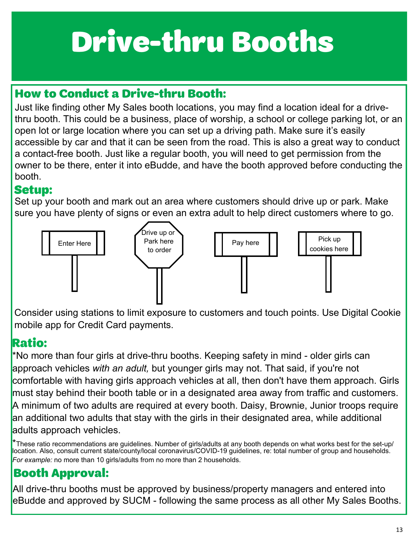### How to Conduct a Drive-thru Booth:

Just like finding other My Sales booth locations, you may find a location ideal for a drivethru booth. This could be a business, place of worship, a school or college parking lot, or an open lot or large location where you can set up a driving path. Make sure it's easily accessible by car and that it can be seen from the road. This is also a great way to conduct a contact-free booth. Just like a regular booth, you will need to get permission from the owner to be there, enter it into eBudde, and have the booth approved before conducting the booth.

#### **Setup:**

Set up your booth and mark out an area where customers should drive up or park. Make sure you have plenty of signs or even an extra adult to help direct customers where to go.



Consider using stations to limit exposure to customers and touch points. Use Digital Cookie mobile app for Credit Card payments.

### **Ratio:**

\*No more than four girls at drive-thru booths. Keeping safety in mind - older girls can approach vehicles *with an adult,* but younger girls may not. That said, if you're not comfortable with having girls approach vehicles at all, then don't have them approach. Girls must stay behind their booth table or in a designated area away from traffic and customers. A minimum of two adults are required at every booth. Daisy, Brownie, Junior troops require an additional two adults that stay with the girls in their designated area, while additional adults approach vehicles.

\*These ratio recommendations are guidelines. Number of girls/adults at any booth depends on what works best for the set-up/ location. Also, consult current state/county/local coronavirus/COVID-19 guidelines, re: total number of group and households. *For example:* no more than 10 girls/adults from no more than 2 households.

## Booth Approval:

All drive-thru booths must be approved by business/property managers and entered into eBudde and approved by SUCM - following the same process as all other My Sales Booths.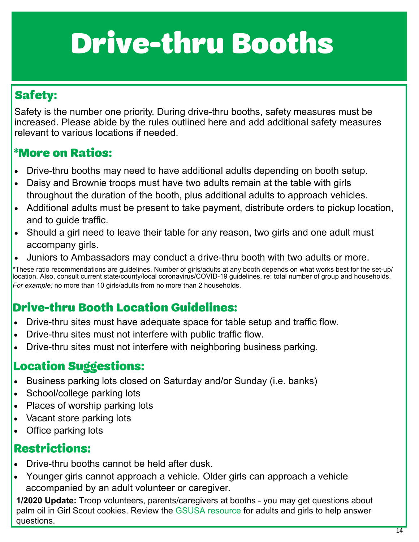## Safety:

Safety is the number one priority. During drive-thru booths, safety measures must be increased. Please abide by the rules outlined here and add additional safety measures relevant to various locations if needed.

#### \*More on Ratios:

- Drive-thru booths may need to have additional adults depending on booth setup.
- Daisy and Brownie troops must have two adults remain at the table with girls throughout the duration of the booth, plus additional adults to approach vehicles.
- Additional adults must be present to take payment, distribute orders to pickup location, and to guide traffic.
- Should a girl need to leave their table for any reason, two girls and one adult must accompany girls.
- Juniors to Ambassadors may conduct a drive-thru booth with two adults or more.

\*These ratio recommendations are guidelines. Number of girls/adults at any booth depends on what works best for the set-up/ location. Also, consult current state/county/local coronavirus/COVID-19 guidelines, re: total number of group and households. *For example:* no more than 10 girls/adults from no more than 2 households.

## Drive-thru Booth Location Guidelines:

- Drive-thru sites must have adequate space for table setup and traffic flow.
- Drive-thru sites must not interfere with public traffic flow.
- Drive-thru sites must not interfere with neighboring business parking.

### **Location Suggestions:**

- Business parking lots closed on Saturday and/or Sunday (i.e. banks)
- School/college parking lots
- Places of worship parking lots
- Vacant store parking lots
- Office parking lots

## **Restrictions:**

- Drive-thru booths cannot be held after dusk.
- Younger girls cannot approach a vehicle. Older girls can approach a vehicle accompanied by an adult volunteer or caregiver.

**1/2020 Update:** Troop volunteers, parents/caregivers at booths - you may get questions about palm oil in Girl Scout cookies. Review the [GSUSA resource](https://www.girlscoutsofcolorado.org/content/dam/girlscoutsofcolorado/documents/2021_cookie_booth_record_form.pdf) for adults and girls to help answer questions.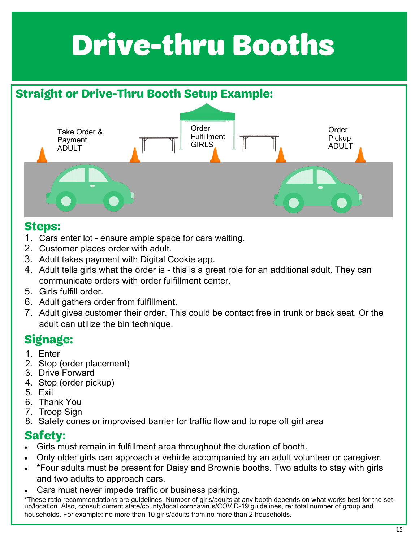## **Straight or Drive-Thru Booth Setup Example:**



#### **Steps:**

- 1. Cars enter lot ensure ample space for cars waiting.
- 2. Customer places order with adult.
- 3. Adult takes payment with Digital Cookie app.
- 4. Adult tells girls what the order is this is a great role for an additional adult. They can communicate orders with order fulfillment center.
- 5. Girls fulfill order.
- 6. Adult gathers order from fulfillment.
- 7. Adult gives customer their order. This could be contact free in trunk or back seat. Or the adult can utilize the bin technique.

## **Signage:**

- 1. Enter
- 2. Stop (order placement)
- 3. Drive Forward
- 4. Stop (order pickup)
- 5. Exit
- 6. Thank You
- 7. Troop Sign
- 8. Safety cones or improvised barrier for traffic flow and to rope off girl area

### **Safety:**

- Girls must remain in fulfillment area throughout the duration of booth.
- Only older girls can approach a vehicle accompanied by an adult volunteer or caregiver.
- \*Four adults must be present for Daisy and Brownie booths. Two adults to stay with girls and two adults to approach cars.
- Cars must never impede traffic or business parking.

\*These ratio recommendations are guidelines. Number of girls/adults at any booth depends on what works best for the setup/location. Also, consult current state/county/local coronavirus/COVID-19 guidelines, re: total number of group and households. For example: no more than 10 girls/adults from no more than 2 households.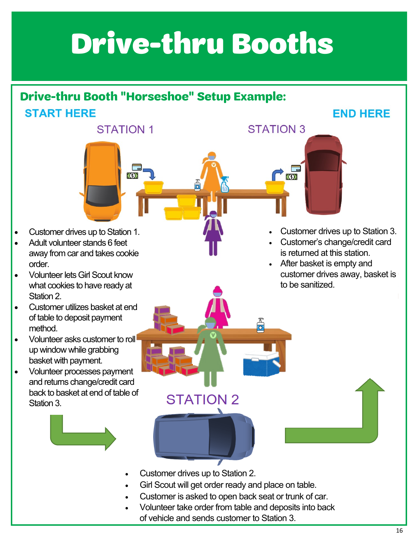## **Drive-thru Booth "Horseshoe" Setup Example: START HERE**

**STATION 1** 

 $\Box$  $(5)$ 

Customer drives up to Station 1.

- Adult volunteer stands 6 feet away from car and takes cookie order.
- **Volunteer lets Girl Scout know** what cookies to have ready at Station 2.
- Customer utilizes basket at end of table to deposit payment method.
- Volunteer asks customer to roll up window while grabbing basket with payment.
- Volunteer processes payment and returns change/credit card back to basket at end of table of Station 3.



**STATION 3** 

 $\Gamma$ 

**END HERE** 

- Customer's change/credit card is returned at this station.
- After basket is empty and customer drives away, basket is to be sanitized.

- 
- Customer drives up to Station 2.

**STATION 2** 

- Girl Scout will get order ready and place on table.
- Customer is asked to open back seat or trunk of car.
- Volunteer take order from table and deposits into back of vehicle and sends customer to Station 3.